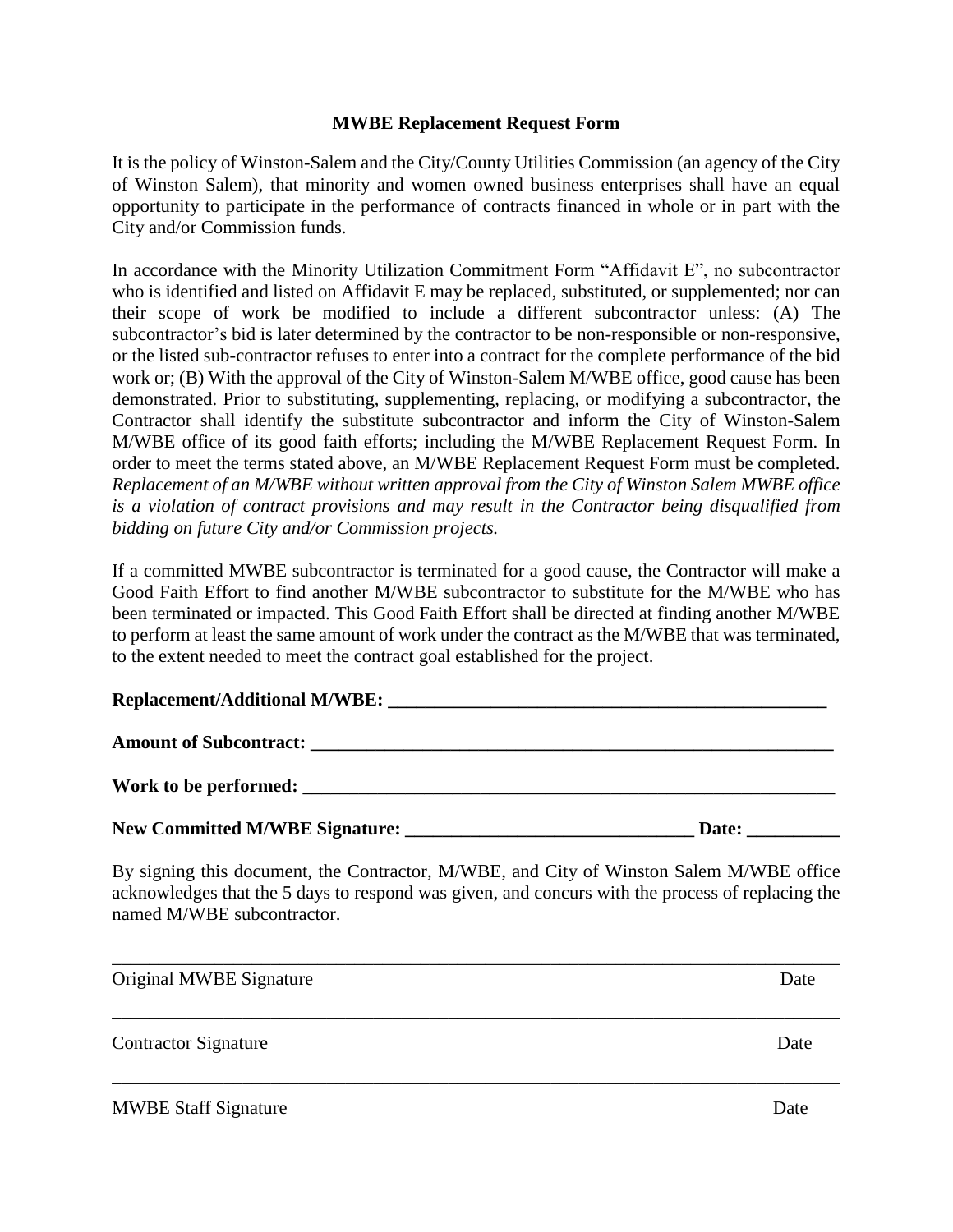## **MWBE Replacement Request Form**

It is the policy of Winston-Salem and the City/County Utilities Commission (an agency of the City of Winston Salem), that minority and women owned business enterprises shall have an equal opportunity to participate in the performance of contracts financed in whole or in part with the City and/or Commission funds.

In accordance with the Minority Utilization Commitment Form "Affidavit E", no subcontractor who is identified and listed on Affidavit E may be replaced, substituted, or supplemented; nor can their scope of work be modified to include a different subcontractor unless: (A) The subcontractor's bid is later determined by the contractor to be non-responsible or non-responsive, or the listed sub-contractor refuses to enter into a contract for the complete performance of the bid work or; (B) With the approval of the City of Winston-Salem M/WBE office, good cause has been demonstrated. Prior to substituting, supplementing, replacing, or modifying a subcontractor, the Contractor shall identify the substitute subcontractor and inform the City of Winston-Salem M/WBE office of its good faith efforts; including the M/WBE Replacement Request Form. In order to meet the terms stated above, an M/WBE Replacement Request Form must be completed. *Replacement of an M/WBE without written approval from the City of Winston Salem MWBE office is a violation of contract provisions and may result in the Contractor being disqualified from bidding on future City and/or Commission projects.*

If a committed MWBE subcontractor is terminated for a good cause, the Contractor will make a Good Faith Effort to find another M/WBE subcontractor to substitute for the M/WBE who has been terminated or impacted. This Good Faith Effort shall be directed at finding another M/WBE to perform at least the same amount of work under the contract as the M/WBE that was terminated, to the extent needed to meet the contract goal established for the project.

## **Replacement/Additional M/WBE: \_\_\_\_\_\_\_\_\_\_\_\_\_\_\_\_\_\_\_\_\_\_\_\_\_\_\_\_\_\_\_\_\_\_\_\_\_\_\_\_\_\_\_\_\_\_\_**

| <b>Amount of Subcontract:</b> |  |  |
|-------------------------------|--|--|
|                               |  |  |

**New Committed M/WBE Signature: \_\_\_\_\_\_\_\_\_\_\_\_\_\_\_\_\_\_\_\_\_\_\_\_\_\_\_\_\_\_\_ Date: \_\_\_\_\_\_\_\_\_\_**

**Work to be performed: \_\_\_\_\_\_\_\_\_\_\_\_\_\_\_\_\_\_\_\_\_\_\_\_\_\_\_\_\_\_\_\_\_\_\_\_\_\_\_\_\_\_\_\_\_\_\_\_\_\_\_\_\_\_\_\_\_**

By signing this document, the Contractor, M/WBE, and City of Winston Salem M/WBE office acknowledges that the 5 days to respond was given, and concurs with the process of replacing the named M/WBE subcontractor.

| Original MWBE Signature     | Date |
|-----------------------------|------|
| <b>Contractor Signature</b> | Date |
| <b>MWBE Staff Signature</b> | Date |